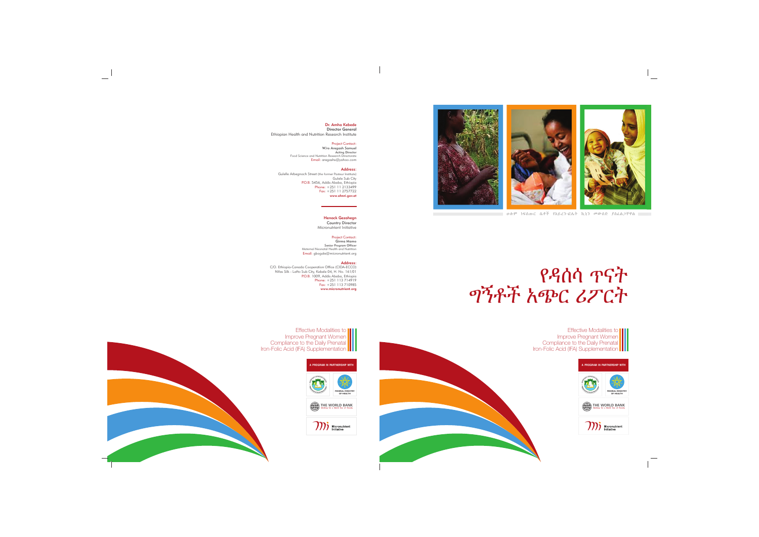Effective Modalities to Improve Pregnant Women Compliance to the Daily Prenatal Iron-Folic Acid (IFA) Supplementation













#### Address:

#### Dr. Amha Kebede Director General

P.O.B. 5456, Ac<br>:Phone<br>:Fax www.ehnri.gov.et Gulelle Arbegnoch Street (the former Pasteur Institute) Gulele Sub City 5456, Addis Ababa, Ethiopia +251 11 2133499 +251 11 2757722

#### Project Contact: Email: aregashs@yahoo.com W/ro Aregash Samuel Acting Director Food Science and Nutrition Research Directorate

Ethiopian Health and Nutrition Research Institute

Effective Modalities to Improve Pregnant Women Compliance to the Daily Prenatal Iron-Folic Acid (IFA) Supplementation **III** 

# Henock Gezahegn

## Project Contact:

#### Address:

Country Director Micronutrient Initiative

Email: gbogale@micronutrient.org Girma Mamo Senior Program Officer Maternal Neonatal Health and Nutrition

P.O.B. 1009, Addis Ababa, Ethiopia Phone: Fax: www.micronutrient.org C/O. Ethiopia-Canada Cooperation Office (CIDA-ECCO) Nifas Silk - Lafto Sub City, Kebele 04, H. No. 161/01 +251 113 714919 +251 113 710985



**THE WORLD BANK Working for a World free of Poverty**



# የዳሰሳ ጥናት ግኝቶች አጭር ሪፖርት

ሁሉም ነፍሰጡር ሴቶች የአይረን-ፎሌት ኪኒን መውሰድ ያስፈልጋቸዋል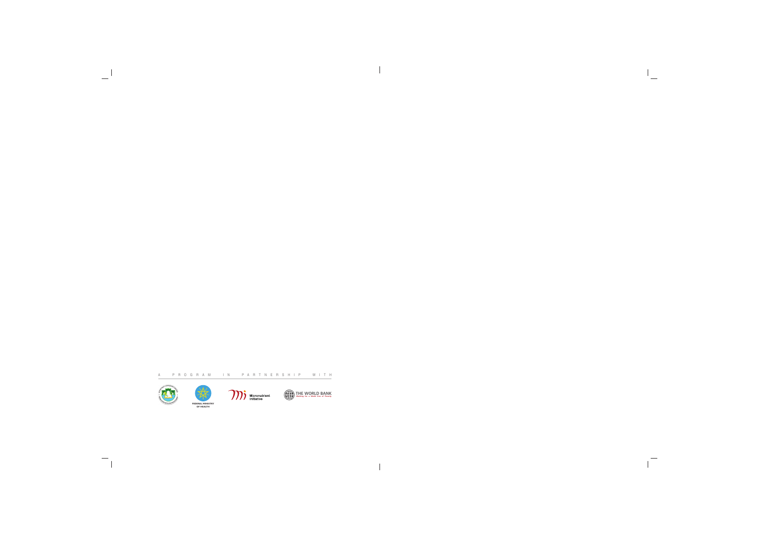

 $\mathcal{A}$ 

 $\equiv$ 

 $\frac{1}{\sqrt{2}}\int_{0}^{\pi}\frac{1}{\sqrt{2}}\left( \frac{1}{\sqrt{2}}\right) ^{2}d\mu d\nu$ 

 $\overline{\phantom{a}}$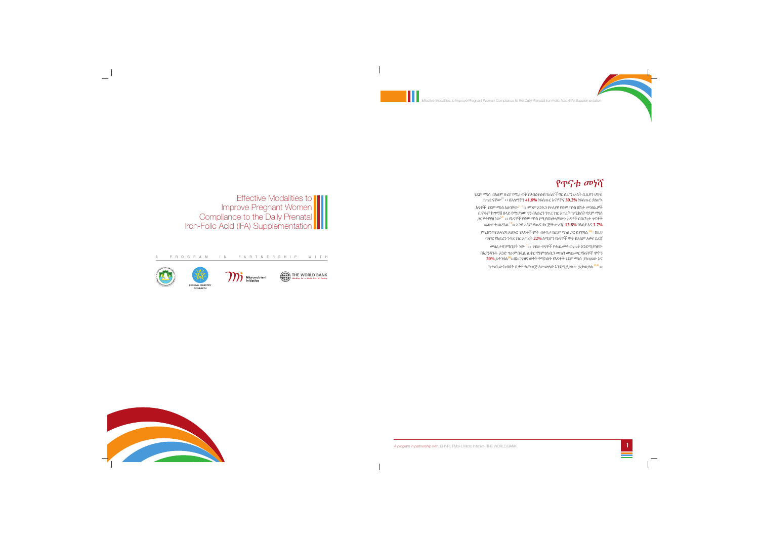**THE WORLD BANK Working for a World free of Poverty**







**100** Micronutrient

A P R O G R A M I N P A R T N E R S H I P W I T H

የደም ማነስ በአለም ዙሪያ የሚታወቅ የህብረተሰብ የጤና ችግር ሲሆን ሁለት ቢሊዩን ህዝብ ተጠቂ ናቸው<sup>.[1]</sup> ፡፡ በአለማችን **41.8%** ነፍሰጡር እናቶችና **30.2%** ነፍስጡር ያልሆኑ እናቶች የደም ማነስ አለባቸው<sup>.[1,2]</sup>:: ምንም እንኳን የተለያዩ የደም ማነስ በሽታ መንስኤዎች ቢኖሩም ከግማሽ በላይ የሚሆነው ግን በአይረን ንጥረ ነገር እጥረት ከሚከስት የደም ማነስ *ጋ*ር የተያያዘ ነው<sup>.[2]</sup> ፡፡ የእናቶች የደም ማነስ የሚያስከትላቸውን ጉዳቶች በበርካታ ጥናቶች ዉስጥ ተገልፆአል <sup>[3]</sup>፡፡ እንደ አለም የጤና ድርጅት መረጃ **12.8%** በእስያ እና **3.7%** የሚሆነዉበአፍሪካ አህጉር የእናቶች ሞት በቀጥታ ከደም ማነስ *ጋ*ር ይያያዛል <sup>[4]</sup>፡፡ ከዚህ ባሻ*ገ*ር የአይረን ንጥረ ነገር እጥረት **22%** ለሚሆን የእናቶች ሞት በአለም አቀፍ ደረጃ መሰረታዊ ምክንያት ነው **::** የብዙ ጥናቶች የተጨመቀ ውጤት እንደሚያሳየው **[5]** በእያንዳንዱ አንድ ግራም በዲሲ ሊትር የሄሞግሉቢን መጠን መጨመር የእናቶች ሞትን  $20\%$  ይቀንሳል<sup>[5]</sup>፡፡በእርግዝና ወቅት የሚከሰት የእናቶች የደም ማነስ ያለጊዜው እና ከተገቢው ከብደት በታች የሆነ ልጅ ለመውለድ እንደሚያ*ጋ*ልጥ ይታወቃል <sup>[3,6]</sup> ፡፡



*A program in partnership with:* EHNRI, FMoH, Micro Initiative, THE WORLD BANK 1

# የጥናቱ መነሻ

Effective Modalities to Improve Pregnant Women Compliance to the Daily Prenatal Iron-Folic Acid (IFA) Supplementation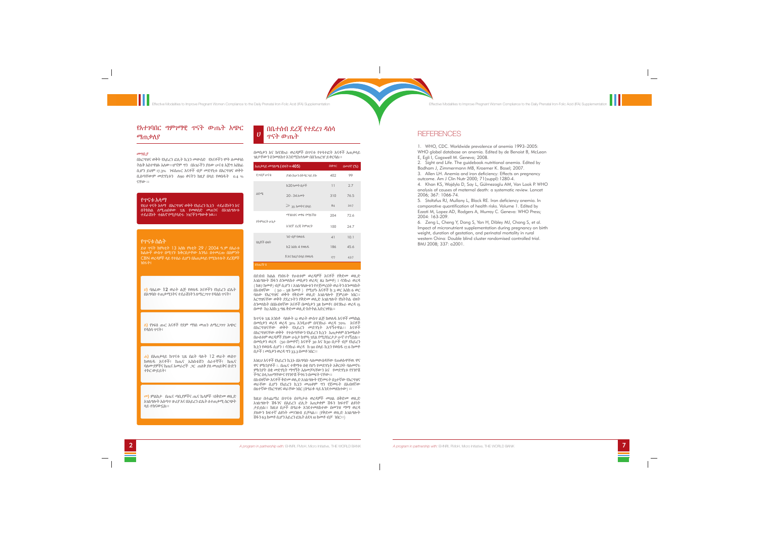

## የአተገባበር ግምገማዊ ጥናት ውጤት አጭር ማጠቃለያ

#### መግቢያ

በእርግዝና ወቅት የአይረን ፎሊት ኪኒን መውስድ የእናቶችን ሞት ለመቀነስ ትልቅ አስተዋፅኦ አለው፡፡ሆኖም ግን በአገራችን ያለው ሁናቴ እጅግ አስከፊ ሲሆን ይህም 17.3% ነፍሰጡር እናቶች ብቻ መድሃኒቱ በእርግዝና ወቅት ቢሰጣቸውም መድሃኒቱን ለ90 ቀናትን ከዚያ በላይ የወሰዱት 0.4 % ናቸው ፡፡

#### የጥናቱ አላማ

<mark>ለ)</mark> የነፍሰ ጡር እናቶች የደም ማነስ መጠን ለማረ*ጋገ*ጥ አጭር የዳሰሳ ጥናት፣

የዚህ ጥናት አላማ በእርግዝና ወቅት የአይረን ኪኒን ተደራሽነትን እና በትክክል ለሚጠበቀው ጊዜ የመወሰድ መጠንና በአ*ገ*ልግሎቱ ተደራሽነት ተፅእኖ የሚያሳድሩ ነገሮችን ማውቅ ነዉ፡፡

#### ሐ) በአጠቃላይ ከጥናቱ ጊዜ በፊት ባሉት 12 ወራት ዉስጥ ከወለዱ እናቶች፣ ከጤና ኤክስቴሽን ሰራተኞች፣ ከጤና ባለሙያዎችና ከጤና አመራሮች ጋር ጠለቅ ያለ መጠይቅና ቡድን ተኮር ውይይት፣

#### የጥናቱ ስልት

ይህ ጥናት ከየካቲት 13 እስከ የካቲት 29 / 2004 ዓ.ም በአራቱ ክልሎች ውስጥ በሚገኙ ከቅርበታቸው አንፃራ በተመረጡ በስምንት CBN ወረዳዎች ላይ የተሰራ ሲሆን በአጠቃላይ የሚከተሉት ደረጃዎች ነበሩት፤

#### <sup>ሀ</sup>) ባለፈው 12 ወራት ልጅ የወለዱ እናቶችን የአይረን ፎሌት በአግባቡ ተጠቃሚነትና ተደራሽነትን ለማረጋገጥ የዳሰሰ ጥናት፣

<sup>መ</sup>) ምልከታ በጤና ጣቢያዎችና ጤና ኬላዎች ፣በቅድመ ወሊድ አገልግሎት አሰጣጥ ዙሪያ እና በአይረን ፎሌት ለተጠቃሚ ስርጭት ላይ ተከናውኗል፡፡

Effective Modalities to Improve Pregnant Women Compliance to the Daily Prenatal Iron-Folic Acid (IFA) Supplementation

በመስቃን እና ከሳንኩራ ወረዳዎች በጥናቱ የተሳተፎት እናቶች አጠቃላይ ገፅታቸውን ስንመለከተ እንደሚከተለው በሰንጠረዠ ይቀርባል፡፡

በደብብ ክልል የነበሩት የሁለቱም ወረዳዎች እናቶች የቅድመ ወሊድ አገልግሎት ሽፋን ስንመለከተ መስቃን ወረዳ( 82 ከመቶ) ፤ ሳንኩራ ወረዳ ( ከ87 ከመቶ) ብቻ ሲሆን ፤ አገልግለሎቱን የተጀመረበት ወራትን ስንመለከት በአብዛኛው ( 50 – 58 ከመቶ ) የሚሆኑ እናቶች ከ 3 ወር እስከ 6 ወር ባለው የእርግዝና ወቅት የቅድመ ወሊድ አገልግሎት ጀምረው ነበር፡፡ እርግዝናቸው ወቅት ያደረጉትን የቅድመ ወሊድ አገልግሎት የክትትል ብዛት ስንመለከት በበአብዛኛው እናቶች በመስቃን 38 ከመቶ፤ በሳንኩራ ወረዳ 15 በመቶ ከ2 እስከ 3 ግዜ ቅድመ ወሊድ ክትትል አድርገዋል፡፡

ከጥናቱ ጊዜ አንስቶ ባለፉት 12 ወራት ውስጥ ልጅ ከወለዱ እናቶች መካከል በመስቃን ወረዳ ወረዳ 31% እንዲሁም በሳንኩራ ወረዳ 70% እናቶች በእርግዝናቸው ወቅት የአይረን መድሃኒት አግኝተዋል፡፡ እናቶች በእርግዝናቸው ወቅት የተሰጣቸውን የአይረን ኪኒን አጠቃቀም ስንመከለት በሁለቱም ወረዳዎች ያለው ሁኔታ ከሞላ-ገደል የሚያበረታታ ሁኖ ተገኝቷል፡፡ በመስቃን ወረዳ (50 በመቶኛ) እናቶች 30 እና ከ30 በታች ብቻ የአይረን ኪኒን የወሰዱ ሲሆን ፤ ሳንኩራ ወረዳ ከ 90 በላይ ኪኒን የወሰዱ 17.6 ከመቶ በታች ፤ መስቃን ወረዳ ግን 33.3 በመቶ ነበር፡፡

#### በቤተሰብ ደረጃ የተደረገ ዳሰሳ ጥናት ውጤት ሀ

እነዚህ እናቶች የአይረን ኪኒኑ በአግባቡ ላለመውሰዳቸው የጠቀሱዋቸዉ ዋና ዋና ምክንያቶች ፡- በጤና ተቋማቱ በቂ የሆነ የመድሃኒት አቅርቦት ባለመኖሩ ምክንያት በቂ መድሃኒት ማግኝት አለመቻላቸውን እና የመድሃኒቱ የጎንዮሽ ችግር ስላጋጠማቸውና የጎንዮሽ ችግሩን በመፍት ናቸው፡፡ በአብዛኛው እናቶች ቅድመ ወሊድ አገልግሎት የጀመሩት በ3ተኛው የእርግዝና ወራቸው ሲሆን የአይረን ኪኒን መጠቀም ግን የጀመሩት በአብዛኛው

በ6ተኛው የእርግዝና ወራቸው ነበር (በግራፉ ላይ እንደተመለከተው) ፡፡

ከዚህ በተጨማሪ በጥናቱ በተካታቱ ወረዳዎች መሀል በቅድመ ወሊድ አገልግሎት ሽፋንና በአይረን ፎሊት አጠቃቀም ሽፋን ከፍተኛ ልዩነት ታይቷል፡፡ ከዚህ በታች በግራፉ እንደተመለከተው በመንዝ ማማ ወረዳ ያለውን ከፍተኛ ልዩነት መገንዘብ ይቻላል፡፡ (የቅድመ ወሊድ አገልግሎት ሽፋን 63 ከመቶ ሲሆን አይረን ፎሌት ዕደላ 10 ከመቶ ብቻ ነበር፡፡)

| አጠቃላይ መግለጫ (ብዛት <b>=405)</b> | በቁጥር                    | <u>በመቶኛ</u> (%) |      |
|------------------------------|-------------------------|-----------------|------|
| የ <i>ጋ</i> ·በቻ ሁናቴ           | ያገቡ/አሁን በትዳር ላይ ያሉ      | 402             | 99   |
| ዕድሜ                          | ከ20 አመት በታች             | 11              | 2.7  |
|                              | 20 - 34 አመት             | 310             | 76.5 |
|                              | $\geqslant$ 35 አመትና በላይ | 84              | 20.7 |
| የትምህርት ሁኔታ                   | <i>ማን</i> በብና መፃፍ የማይችሉ | 204             | 726  |
|                              | አንደኛ ደረጃ ትምህርት          | 100             | 24 7 |
| የልጆች ብዛት                     | ንድ ብቻ የወለዱ              | 41              | 10.1 |
|                              | ከ2 እስከ 4 የወለዱ           | 186             | 45.6 |
|                              | 5 እና ከዚያ በላይ የወለዱ       | 177             | 43.7 |
| ሰንሐረዥ 1                      |                         |                 |      |

Effective Modalities to Improve Pregnant Women Compliance to the Daily Prenatal Iron-Folic Acid (IFA) Supplementation

# **REFERENCES**



1. WHO, CDC. Worldwide prevalence of anemia 1993–2005: WHO global database on anemia. Edited by de Benoist B, McLean E, Egli I, Cogswell M. Geneva; 2008.

2. Sight and Life. The guidebook nutritional anemia. Edited by Badham J, Zimmermann MB, Kraemer K. Basel; 2007.

3. Allen LH. Anemia and iron deficiency: Effects on pregnancy

outcome. Am J Clin Nutr 2000; 71(suppl):1280-4. 4. Khan KS, Wojdyla D, Say L, Gülmezoglu AM, Van Look P. WHO analysis of causes of maternal death: a systematic review. Lancet 2006; 367: 1066-74.

5. Stoltzfus RJ, Mullany L, Black RE. Iron deficiency anemia. In comparative quantification of health risks. Volume 1. Edited by Ezzati M, Lopez AD, Rodgers A, Murray C. Geneva: WHO Press; 2004: 163-209.

6. Zeng L, Cheng Y, Dang S, Yan H, Dibley MJ, Chang S, et al. Impact of micronutrient supplementation during pregnancy on birth weight, duration of gestation, and perinatal mortality in rural western China: Double blind cluster randomised controlled trial. BMJ 2008; 337: a2001.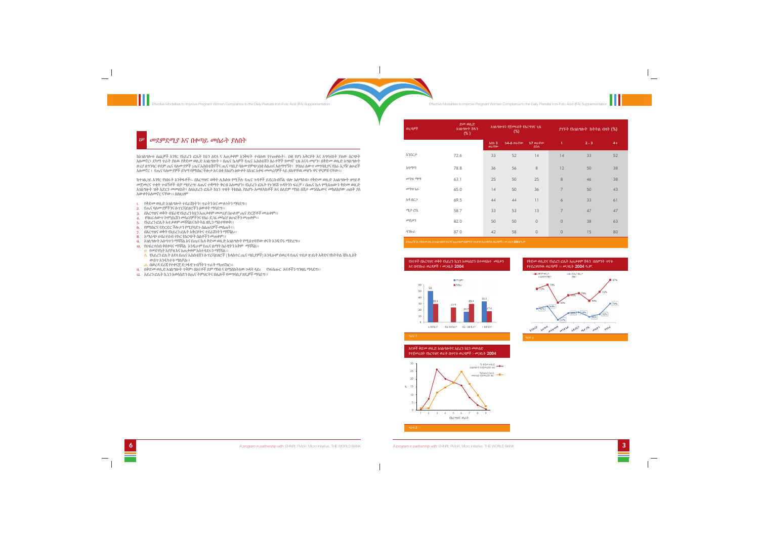

Effective Modalities to Improve Pregnant Women Compliance to the Daily Prenatal Iron-Folic Acid (IFA) Supplementation

**Effective Modalities to Improve Pregnant Women Compliance to the Daily Prenatal Iron-Folic Acid (IFA) Supplementation** 

## መደምደሚያ እና በቀጣይ መሰራት ያለበት

 $|\psi|$ 

ከአገልግሎቱ ሰጪዎች አንፃር የአይረን ፎሌት ክኒን ዕደላ ና አጠቃቀም እንቅፍት ተብለዉ የተጠቀሱት፡- በቂ የሆነ አቅርቦት እና አግባብነት ያለው ስርጭት አለመኖር፣ ደካማ ጥራት ያለዉ የቅድመ ወሊድ አገልግሎት ፣ በጤና ኬላዎች የጤና ኤክስቴሽን ሰራተኞች የመገኛ ጊዜ አናሳ መሆን፣ በቅድመ ወሊድ አግልግሎት ዙሪያ ለግንባር ቀደም ጤና ባለሙያዎች (ጤና ኤክስቴሽኖችና ጤና ጣቢያ ባለሙያዎጭ)በቂ ስልጠና አለማግኝት፣ የባህሪ ለውጥ መግባቢያና የስራ አጋዥ ፅሁፎች አለመኖር ፣ የጤና ባለሙያዎች ደካማ የምክክር ችሎታ እና በቂ ያልሆነ ዕውቀት በአገር አቀፍ መመሪያዎች ላይ ያልዋቸዉ መሆኑ ዋና ዋናዎቹ ናቸው፡፡

ከተገልጋይ አንፃር የነበሩት እንቅፋቶች፡- በእርግዝና ወቅት ሊከሰቱ የሚችሉ የጤና ጉዳቶች ይደርሱብኛል ብሎ አለማሰብ፣ የቅድመ ወሊድ አገልግሎት ዘግይቶ መጀመርና ጥቂት ጉብኝቶች ብቻ ማድረግ፣ ለጤና ተቋማት ቅርብ አለመሆን፣ የአይረን ፎሌት የጉንዩሽ ጉዳትንን ፍራቻ ፣ በጤና ኬላ የሚሰጠውን ቅድመ ወሊድ አገልግሎት ዝቅ አድርጎ መመለከት፣ ስለአይረን ፎሌት ክኒን ጥቂት ትክክል ያልሆኑ አመለካከቶች እና ስለደም ማነስ በሽታ መንሰኤውና መከለከያው ጠለቅ ያለ አውቀትአለመኖር ናቸው፡፡ ስለዚህም

- l. የቅድመ ወሊድ አገልግሎት ተደራሽነትን፣ ጥራትን እና ሙሉነትን ማሳደግ፡፡
- የጤና ባለሙያዎችንና ሱፐርቫይዘሮችን ዕውቀት ማሳደግ፡፡ 2.
- 3. በእርግዝና ወቅት ብሄራዊ የአይረን ከኒን አጠቃቀም መመሪያ በሁሉም ጤና ድርጅቶች መጠቀም፡፡
- 4. የባህሪ ለውጥ ኮሞኒኬሽን መሳሪያዎችንና የስራ ደ*ጋፌ* መሳሪያ ፅሁፎችን መጠቀም፡፡
- 5. የአይረን ፎሌት አተቃቀም መሻሻልና ከትትል ዘዴን ማስተዋወቅ፡፡
- የምክክርና የድርድር ችሎታን የሚያሳድጉ ስልጠናዎች መስጠት፡፡ 6.
- በእርግዝና ወቅት የአይረን ፎሌት አቅርቦትና ተደራሽነትን ማሻሻል፡፡ 7.
- 8. አማራጭ ህብረተሰብ ተኮር የስርጭት ስልቶችን መጠቀም፡፡
- .<br>9. አገልግሎት አሰጣጥን ማሻሻል እና በጤና ኬላ ቅድመ ወሊድ አገልግሎት የሚሰጥባቸው ቀናት እንዲኖሩ ማድረግ፡፡
- የህብረተሰብ ቅስቀሳና ማሻሻል አንዲሁም የጤና ልማት ስራዊትን አቅም ማሻሻል፡፡ 10. <mark>ሀ. የመድሃኒት አያያዝ እና አጠቃቀም አስተዳደሩን ማሻሻል፡፡</mark>
- <mark>ለ</mark>. የአይረን ፎሊት ዕደላ በጤና ኤክስቴሽን ሱፕረቫይዘሮች ( ክላስተር ጤና ጣቢያዎች) እንዲሁም በወረዳ የጤና ጥበቃ ጽ/ቤት እቅድና የክትትል ቼክ ሊስት ውስጥ እንዲካተቱ ማስቻል፡፡
- <u>ሐ</u>. በወረዳ ደረጃ የተቀናጀ ድ*ጋ*ፋዊ ጉብኝትን ጥራት ማጠናከር፡፡
- ll. በቅድመ ወሊድ አገልግሎት ጥቅም፡ በእናቶች ደም ማነስ ና በሚስከትለው ጉዳት ላይነ የነፍሰጡር እናቶችን ግንዛቤ ማሳደግ፡፡
- 12. እይረን ፎሌት ኪኒን አወሳስድን በጤና ትምህርትና በሌሎች የመግባቢያ ዘዴዎች ማሳደግ፡፡



*A program in partnership with:* EHNRI, FMoH, Micro Initiative, THE WORLD BANK 3

| ወረዳዎች          | ድመ ወሲድ<br>አገልግሎት ሽፋን<br>(% ) | አገልግሎቱን የጀመሩበት የእርግዝና ጊዜ<br>$(\%)$              |                   |                          | ያገኙት የአገልግሎት ከትትል ብዛት (%) |         |      |  |
|----------------|------------------------------|-------------------------------------------------|-------------------|--------------------------|---------------------------|---------|------|--|
|                |                              | $\lambda$ $\lambda$ $\lambda$ $\lambda$<br>ወራቸው | <b>ከ4-6 ወ</b> ራቸው | ከ7 ወራቸው<br>በኋላ           | T                         | $2 - 3$ | $4+$ |  |
| እንደርታ          | 72.6                         | 33                                              | 52                | 14                       | 14                        | 33      | 52   |  |
| አላማጣ           | 78.8                         | 36                                              | 56                | 8                        | 12                        | 50      | 38   |  |
| መንዝ ማማ         | 63.1                         | 25                                              | 50                | 25                       | 8                         | 46      | 38   |  |
| መንዝ ጌራ         | 65.0                         | 14                                              | 50                | 36                       | $\overline{7}$            | 50      | 43   |  |
| አዳ በር <i>ጋ</i> | 69.5                         | 44                                              | 44                | $\overline{\phantom{a}}$ | 6                         | 33      | 61   |  |
| ሜታ ሮቢ          | 58.7                         | 33                                              | 53                | 13                       | $\overline{7}$            | 47      | 47   |  |
| መስቃን           | 82.0                         | 50                                              | 50                | $\mathbf 0$              | $\circledcirc$            | 38      | 63   |  |
| ሳንኩራ           | 87.0                         | 42                                              | 58                | $\mathbf 0$              | $\circledcirc$            | 15      | 80   |  |
|                |                              |                                                 |                   |                          |                           |         |      |  |